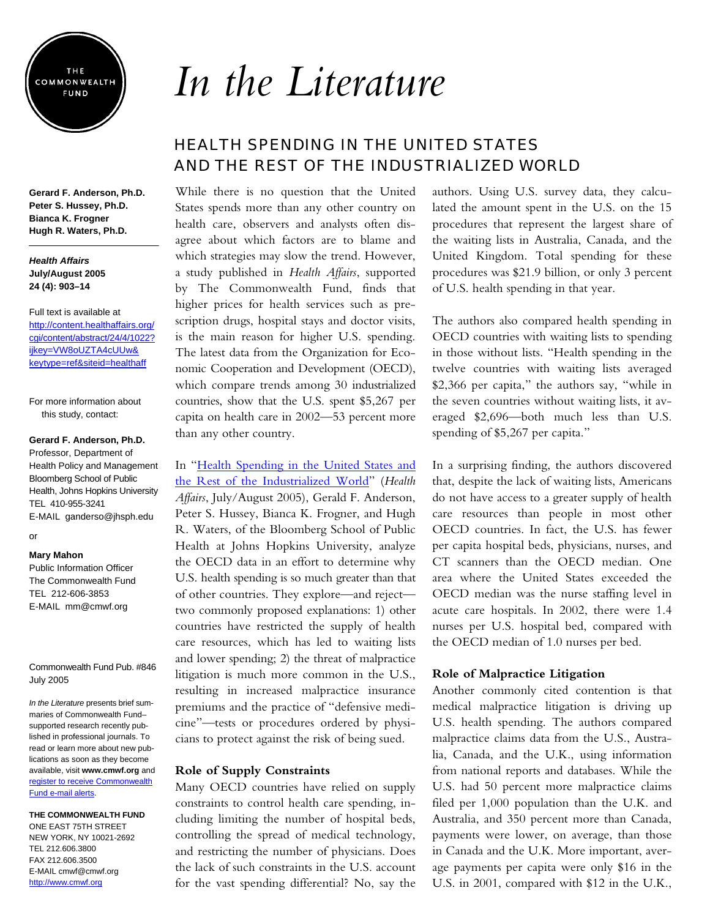

**Gerard F. Anderson, Ph.D. Peter S. Hussey, Ph.D. Bianca K. Frogner Hugh R. Waters, Ph.D.** 

### *Health Affairs* **July/August 2005 24 (4): 903–14**

Full text is available at [http://content.healthaffairs.org/](http://content.healthaffairs.org/cgi/content/abstract/24/4/1022?ijkey=VW8oUZTA4cUUw&keytype=ref&siteid=healthaff) cgi/content/abstract/24/4/1022? ijkey=VW8oUZTA4cUUw& keytype=ref&siteid=healthaff

For more information about this study, contact:

#### **Gerard F. Anderson, Ph.D.**

Professor, Department of Health Policy and Management Bloomberg School of Public Health, Johns Hopkins University TEL 410-955-3241 E-MAIL ganderso@jhsph.edu

## or

## **Mary Mahon**

Public Information Officer The Commonwealth Fund TEL 212-606-3853 E-MAIL mm@cmwf.org

#### Commonwealth Fund Pub. #846 July 2005

*In the Literature* presents brief summaries of Commonwealth Fund– supported research recently published in professional journals. To read or learn more about new publications as soon as they become available, visit **www.cmwf.org** and [register to receive Commonwealth](http://www.cmwf.org/emailalert/emailalert.htm) Fund e-mail alerts.

## **THE COMMONWEALTH FUND**

ONE EAST 75TH STREET NEW YORK, NY 10021-2692 TEL 212.606.3800 FAX 212.606.3500 E-MAIL cmwf@cmwf.org <http://www.cmwf.org>

# *In the Literature*

## HEALTH SPENDING IN THE UNITED STATES AND THE REST OF THE INDUSTRIALIZED WORLD

While there is no question that the United States spends more than any other country on health care, observers and analysts often disagree about which factors are to blame and which strategies may slow the trend. However, a study published in *Health Affairs*, supported by The Commonwealth Fund, finds that higher prices for health services such as prescription drugs, hospital stays and doctor visits, is the main reason for higher U.S. spending. The latest data from the Organization for Economic Cooperation and Development (OECD), which compare trends among 30 industrialized countries, show that the U.S. spent \$5,267 per capita on health care in 2002—53 percent more than any other country.

In "Health Spending in the United States and [the Rest of the Industrialized World"](http://content.healthaffairs.org/cgi/content/abstract/24/4/1022?ijkey=VW8oUZTA4cUUw&keytype=ref&siteid=healthaff) (*Health Affairs*, July/August 2005), Gerald F. Anderson, Peter S. Hussey, Bianca K. Frogner, and Hugh R. Waters, of the Bloomberg School of Public Health at Johns Hopkins University, analyze the OECD data in an effort to determine why U.S. health spending is so much greater than that of other countries. They explore—and reject two commonly proposed explanations: 1) other countries have restricted the supply of health care resources, which has led to waiting lists and lower spending; 2) the threat of malpractice litigation is much more common in the U.S., resulting in increased malpractice insurance premiums and the practice of "defensive medicine"—tests or procedures ordered by physicians to protect against the risk of being sued.

## **Role of Supply Constraints**

Many OECD countries have relied on supply constraints to control health care spending, including limiting the number of hospital beds, controlling the spread of medical technology, and restricting the number of physicians. Does the lack of such constraints in the U.S. account for the vast spending differential? No, say the authors. Using U.S. survey data, they calculated the amount spent in the U.S. on the 15 procedures that represent the largest share of the waiting lists in Australia, Canada, and the United Kingdom. Total spending for these procedures was \$21.9 billion, or only 3 percent of U.S. health spending in that year.

The authors also compared health spending in OECD countries with waiting lists to spending in those without lists. "Health spending in the twelve countries with waiting lists averaged \$2,366 per capita," the authors say, "while in the seven countries without waiting lists, it averaged \$2,696—both much less than U.S. spending of \$5,267 per capita."

In a surprising finding, the authors discovered that, despite the lack of waiting lists, Americans do not have access to a greater supply of health care resources than people in most other OECD countries. In fact, the U.S. has fewer per capita hospital beds, physicians, nurses, and CT scanners than the OECD median. One area where the United States exceeded the OECD median was the nurse staffing level in acute care hospitals. In 2002, there were 1.4 nurses per U.S. hospital bed, compared with the OECD median of 1.0 nurses per bed.

## **Role of Malpractice Litigation**

Another commonly cited contention is that medical malpractice litigation is driving up U.S. health spending. The authors compared malpractice claims data from the U.S., Australia, Canada, and the U.K., using information from national reports and databases. While the U.S. had 50 percent more malpractice claims filed per 1,000 population than the U.K. and Australia, and 350 percent more than Canada, payments were lower, on average, than those in Canada and the U.K. More important, average payments per capita were only \$16 in the U.S. in 2001, compared with \$12 in the U.K.,